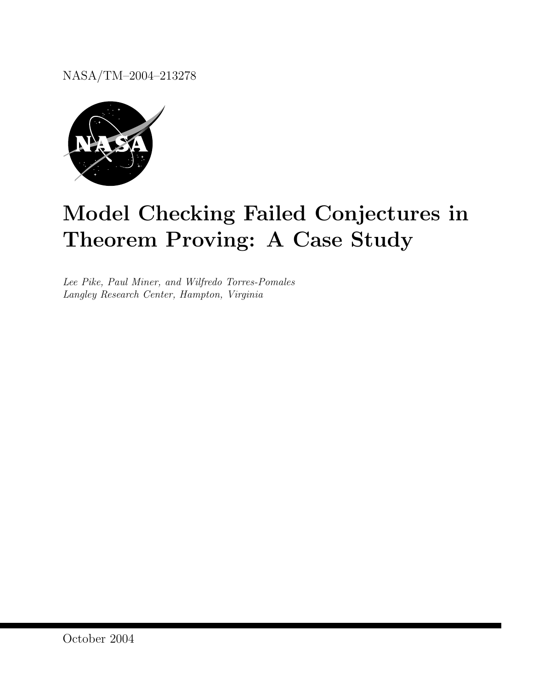NASA/TM–2004–213278



# Model Checking Failed Conjectures in Theorem Proving: A Case Study

Lee Pike, Paul Miner, and Wilfredo Torres-Pomales Langley Research Center, Hampton, Virginia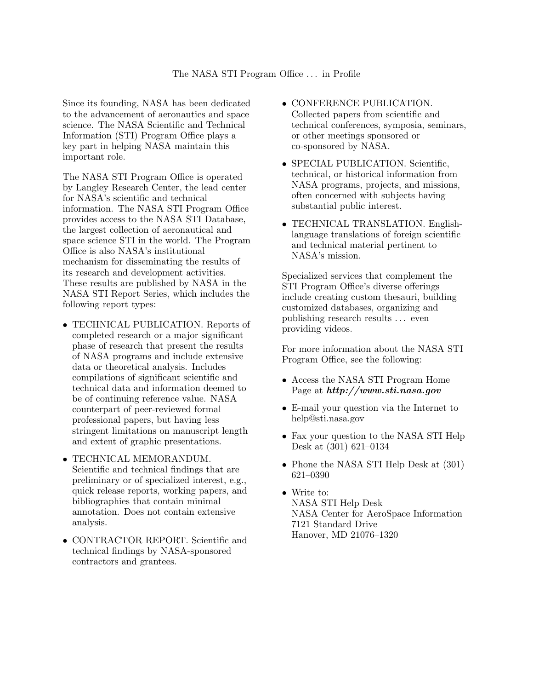Since its founding, NASA has been dedicated to the advancement of aeronautics and space science. The NASA Scientific and Technical Information (STI) Program Office plays a key part in helping NASA maintain this important role.

The NASA STI Program Office is operated by Langley Research Center, the lead center for NASA's scientific and technical information. The NASA STI Program Office provides access to the NASA STI Database, the largest collection of aeronautical and space science STI in the world. The Program Office is also NASA's institutional mechanism for disseminating the results of its research and development activities. These results are published by NASA in the NASA STI Report Series, which includes the following report types:

- TECHNICAL PUBLICATION. Reports of completed research or a major significant phase of research that present the results of NASA programs and include extensive data or theoretical analysis. Includes compilations of significant scientific and technical data and information deemed to be of continuing reference value. NASA counterpart of peer-reviewed formal professional papers, but having less stringent limitations on manuscript length and extent of graphic presentations.
- TECHNICAL MEMORANDUM. Scientific and technical findings that are preliminary or of specialized interest, e.g., quick release reports, working papers, and bibliographies that contain minimal annotation. Does not contain extensive analysis.
- CONTRACTOR REPORT. Scientific and technical findings by NASA-sponsored contractors and grantees.
- CONFERENCE PUBLICATION. Collected papers from scientific and technical conferences, symposia, seminars, or other meetings sponsored or co-sponsored by NASA.
- SPECIAL PUBLICATION. Scientific, technical, or historical information from NASA programs, projects, and missions, often concerned with subjects having substantial public interest.
- TECHNICAL TRANSLATION. Englishlanguage translations of foreign scientific and technical material pertinent to NASA's mission.

Specialized services that complement the STI Program Office's diverse offerings include creating custom thesauri, building customized databases, organizing and publishing research results . . . even providing videos.

For more information about the NASA STI Program Office, see the following:

- Access the NASA STI Program Home Page at http://www.sti.nasa.gov
- E-mail your question via the Internet to help@sti.nasa.gov
- Fax your question to the NASA STI Help Desk at (301) 621–0134
- Phone the NASA STI Help Desk at  $(301)$ 621–0390
- Write to: NASA STI Help Desk NASA Center for AeroSpace Information 7121 Standard Drive Hanover, MD 21076–1320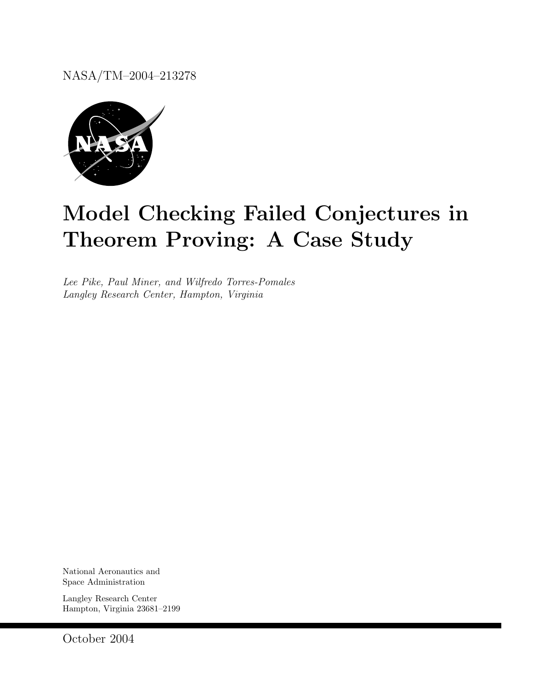NASA/TM–2004–213278



# Model Checking Failed Conjectures in Theorem Proving: A Case Study

Lee Pike, Paul Miner, and Wilfredo Torres-Pomales Langley Research Center, Hampton, Virginia

National Aeronautics and Space Administration

Langley Research Center Hampton, Virginia 23681–2199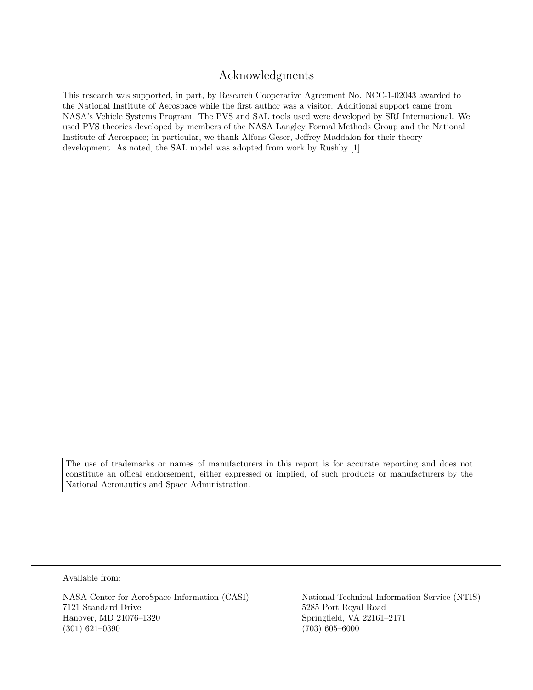# Acknowledgments

This research was supported, in part, by Research Cooperative Agreement No. NCC-1-02043 awarded to the National Institute of Aerospace while the first author was a visitor. Additional support came from NASA's Vehicle Systems Program. The PVS and SAL tools used were developed by SRI International. We used PVS theories developed by members of the NASA Langley Formal Methods Group and the National Institute of Aerospace; in particular, we thank Alfons Geser, Jeffrey Maddalon for their theory development. As noted, the SAL model was adopted from work by Rushby [1].

The use of trademarks or names of manufacturers in this report is for accurate reporting and does not constitute an offical endorsement, either expressed or implied, of such products or manufacturers by the National Aeronautics and Space Administration.

Available from:

7121 Standard Drive 5285 Port Royal Road Hanover, MD 21076–1320 Springfield, VA 22161–2171 (301) 621–0390 (703) 605–6000

NASA Center for AeroSpace Information (CASI) National Technical Information Service (NTIS)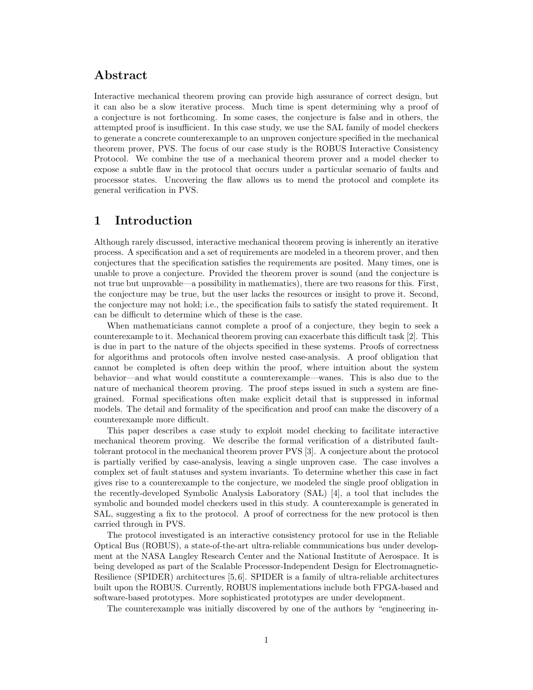# Abstract

Interactive mechanical theorem proving can provide high assurance of correct design, but it can also be a slow iterative process. Much time is spent determining why a proof of a conjecture is not forthcoming. In some cases, the conjecture is false and in others, the attempted proof is insufficient. In this case study, we use the SAL family of model checkers to generate a concrete counterexample to an unproven conjecture specified in the mechanical theorem prover, PVS. The focus of our case study is the ROBUS Interactive Consistency Protocol. We combine the use of a mechanical theorem prover and a model checker to expose a subtle flaw in the protocol that occurs under a particular scenario of faults and processor states. Uncovering the flaw allows us to mend the protocol and complete its general verification in PVS.

## 1 Introduction

Although rarely discussed, interactive mechanical theorem proving is inherently an iterative process. A specification and a set of requirements are modeled in a theorem prover, and then conjectures that the specification satisfies the requirements are posited. Many times, one is unable to prove a conjecture. Provided the theorem prover is sound (and the conjecture is not true but unprovable—a possibility in mathematics), there are two reasons for this. First, the conjecture may be true, but the user lacks the resources or insight to prove it. Second, the conjecture may not hold; i.e., the specification fails to satisfy the stated requirement. It can be difficult to determine which of these is the case.

When mathematicians cannot complete a proof of a conjecture, they begin to seek a counterexample to it. Mechanical theorem proving can exacerbate this difficult task [2]. This is due in part to the nature of the objects specified in these systems. Proofs of correctness for algorithms and protocols often involve nested case-analysis. A proof obligation that cannot be completed is often deep within the proof, where intuition about the system behavior—and what would constitute a counterexample—wanes. This is also due to the nature of mechanical theorem proving. The proof steps issued in such a system are finegrained. Formal specifications often make explicit detail that is suppressed in informal models. The detail and formality of the specification and proof can make the discovery of a counterexample more difficult.

This paper describes a case study to exploit model checking to facilitate interactive mechanical theorem proving. We describe the formal verification of a distributed faulttolerant protocol in the mechanical theorem prover PVS [3]. A conjecture about the protocol is partially verified by case-analysis, leaving a single unproven case. The case involves a complex set of fault statuses and system invariants. To determine whether this case in fact gives rise to a counterexample to the conjecture, we modeled the single proof obligation in the recently-developed Symbolic Analysis Laboratory (SAL) [4], a tool that includes the symbolic and bounded model checkers used in this study. A counterexample is generated in SAL, suggesting a fix to the protocol. A proof of correctness for the new protocol is then carried through in PVS.

The protocol investigated is an interactive consistency protocol for use in the Reliable Optical Bus (ROBUS), a state-of-the-art ultra-reliable communications bus under development at the NASA Langley Research Center and the National Institute of Aerospace. It is being developed as part of the Scalable Processor-Independent Design for Electromagnetic-Resilience (SPIDER) architectures [5, 6]. SPIDER is a family of ultra-reliable architectures built upon the ROBUS. Currently, ROBUS implementations include both FPGA-based and software-based prototypes. More sophisticated prototypes are under development.

The counterexample was initially discovered by one of the authors by "engineering in-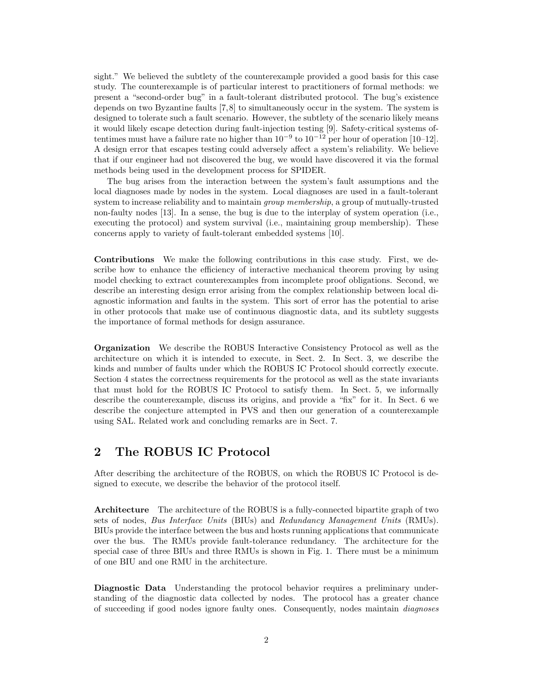sight." We believed the subtlety of the counterexample provided a good basis for this case study. The counterexample is of particular interest to practitioners of formal methods: we present a "second-order bug" in a fault-tolerant distributed protocol. The bug's existence depends on two Byzantine faults [7,8] to simultaneously occur in the system. The system is designed to tolerate such a fault scenario. However, the subtlety of the scenario likely means it would likely escape detection during fault-injection testing [9]. Safety-critical systems oftentimes must have a failure rate no higher than  $10^{-9}$  to  $10^{-12}$  per hour of operation [10–12]. A design error that escapes testing could adversely affect a system's reliability. We believe that if our engineer had not discovered the bug, we would have discovered it via the formal methods being used in the development process for SPIDER.

The bug arises from the interaction between the system's fault assumptions and the local diagnoses made by nodes in the system. Local diagnoses are used in a fault-tolerant system to increase reliability and to maintain *group membership*, a group of mutually-trusted non-faulty nodes [13]. In a sense, the bug is due to the interplay of system operation (i.e., executing the protocol) and system survival (i.e., maintaining group membership). These concerns apply to variety of fault-tolerant embedded systems [10].

Contributions We make the following contributions in this case study. First, we describe how to enhance the efficiency of interactive mechanical theorem proving by using model checking to extract counterexamples from incomplete proof obligations. Second, we describe an interesting design error arising from the complex relationship between local diagnostic information and faults in the system. This sort of error has the potential to arise in other protocols that make use of continuous diagnostic data, and its subtlety suggests the importance of formal methods for design assurance.

Organization We describe the ROBUS Interactive Consistency Protocol as well as the architecture on which it is intended to execute, in Sect. 2. In Sect. 3, we describe the kinds and number of faults under which the ROBUS IC Protocol should correctly execute. Section 4 states the correctness requirements for the protocol as well as the state invariants that must hold for the ROBUS IC Protocol to satisfy them. In Sect. 5, we informally describe the counterexample, discuss its origins, and provide a "fix" for it. In Sect. 6 we describe the conjecture attempted in PVS and then our generation of a counterexample using SAL. Related work and concluding remarks are in Sect. 7.

## 2 The ROBUS IC Protocol

After describing the architecture of the ROBUS, on which the ROBUS IC Protocol is designed to execute, we describe the behavior of the protocol itself.

Architecture The architecture of the ROBUS is a fully-connected bipartite graph of two sets of nodes, Bus Interface Units (BIUs) and Redundancy Management Units (RMUs). BIUs provide the interface between the bus and hosts running applications that communicate over the bus. The RMUs provide fault-tolerance redundancy. The architecture for the special case of three BIUs and three RMUs is shown in Fig. 1. There must be a minimum of one BIU and one RMU in the architecture.

Diagnostic Data Understanding the protocol behavior requires a preliminary understanding of the diagnostic data collected by nodes. The protocol has a greater chance of succeeding if good nodes ignore faulty ones. Consequently, nodes maintain diagnoses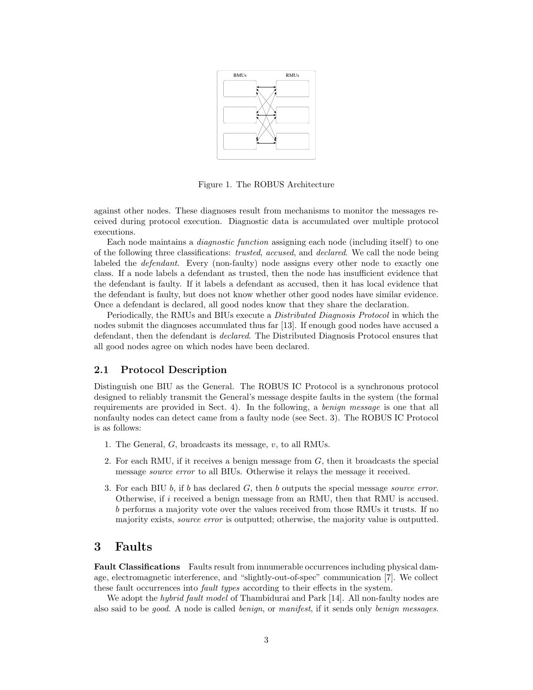

Figure 1. The ROBUS Architecture

against other nodes. These diagnoses result from mechanisms to monitor the messages received during protocol execution. Diagnostic data is accumulated over multiple protocol executions.

Each node maintains a diagnostic function assigning each node (including itself) to one of the following three classifications: trusted, accused, and declared. We call the node being labeled the *defendant*. Every (non-faulty) node assigns every other node to exactly one class. If a node labels a defendant as trusted, then the node has insufficient evidence that the defendant is faulty. If it labels a defendant as accused, then it has local evidence that the defendant is faulty, but does not know whether other good nodes have similar evidence. Once a defendant is declared, all good nodes know that they share the declaration.

Periodically, the RMUs and BIUs execute a Distributed Diagnosis Protocol in which the nodes submit the diagnoses accumulated thus far [13]. If enough good nodes have accused a defendant, then the defendant is declared. The Distributed Diagnosis Protocol ensures that all good nodes agree on which nodes have been declared.

#### 2.1 Protocol Description

Distinguish one BIU as the General. The ROBUS IC Protocol is a synchronous protocol designed to reliably transmit the General's message despite faults in the system (the formal requirements are provided in Sect. 4). In the following, a benign message is one that all nonfaulty nodes can detect came from a faulty node (see Sect. 3). The ROBUS IC Protocol is as follows:

- 1. The General, G, broadcasts its message, v, to all RMUs.
- 2. For each RMU, if it receives a benign message from G, then it broadcasts the special message source error to all BIUs. Otherwise it relays the message it received.
- 3. For each BIU  $b$ , if  $b$  has declared  $G$ , then  $b$  outputs the special message *source error*. Otherwise, if  $i$  received a benign message from an RMU, then that RMU is accused. b performs a majority vote over the values received from those RMUs it trusts. If no majority exists, *source error* is outputted; otherwise, the majority value is outputted.

### 3 Faults

Fault Classifications Faults result from innumerable occurrences including physical damage, electromagnetic interference, and "slightly-out-of-spec" communication [7]. We collect these fault occurrences into *fault types* according to their effects in the system.

We adopt the *hybrid fault model* of Thambidurai and Park [14]. All non-faulty nodes are also said to be *good*. A node is called *benign*, or *manifest*, if it sends only *benign messages*.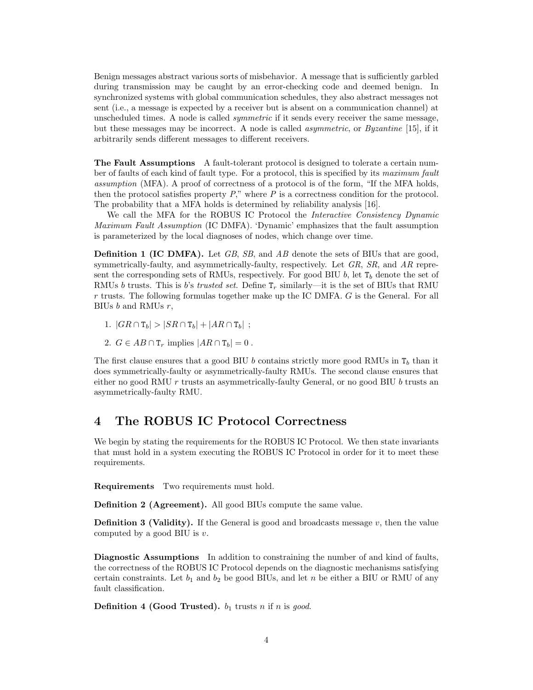Benign messages abstract various sorts of misbehavior. A message that is sufficiently garbled during transmission may be caught by an error-checking code and deemed benign. In synchronized systems with global communication schedules, they also abstract messages not sent (i.e., a message is expected by a receiver but is absent on a communication channel) at unscheduled times. A node is called *symmetric* if it sends every receiver the same message, but these messages may be incorrect. A node is called asymmetric, or Byzantine [15], if it arbitrarily sends different messages to different receivers.

The Fault Assumptions A fault-tolerant protocol is designed to tolerate a certain number of faults of each kind of fault type. For a protocol, this is specified by its maximum fault assumption (MFA). A proof of correctness of a protocol is of the form, "If the MFA holds, then the protocol satisfies property  $P$ ," where  $P$  is a correctness condition for the protocol. The probability that a MFA holds is determined by reliability analysis [16].

We call the MFA for the ROBUS IC Protocol the Interactive Consistency Dynamic Maximum Fault Assumption (IC DMFA). 'Dynamic' emphasizes that the fault assumption is parameterized by the local diagnoses of nodes, which change over time.

**Definition 1 (IC DMFA).** Let GB, SB, and AB denote the sets of BIUs that are good, symmetrically-faulty, and asymmetrically-faulty, respectively. Let  $GR$ ,  $SR$ , and  $AR$  represent the corresponding sets of RMUs, respectively. For good BIU b, let  $T_b$  denote the set of RMUs b trusts. This is b's trusted set. Define  $T_r$  similarly—it is the set of BIUs that RMU  $r$  trusts. The following formulas together make up the IC DMFA.  $G$  is the General. For all BIUs  $b$  and RMUs  $r$ ,

- 1.  $|GR \cap T_b| > |SR \cap T_b| + |AR \cap T_b|$ ;
- 2.  $G \in AB \cap \mathsf{T}_r$  implies  $|AR \cap \mathsf{T}_b| = 0$ .

The first clause ensures that a good BIU b contains strictly more good RMUs in  $T_b$  than it does symmetrically-faulty or asymmetrically-faulty RMUs. The second clause ensures that either no good RMU  $r$  trusts an asymmetrically-faulty General, or no good BIU  $b$  trusts an asymmetrically-faulty RMU.

## 4 The ROBUS IC Protocol Correctness

We begin by stating the requirements for the ROBUS IC Protocol. We then state invariants that must hold in a system executing the ROBUS IC Protocol in order for it to meet these requirements.

Requirements Two requirements must hold.

Definition 2 (Agreement). All good BIUs compute the same value.

**Definition 3 (Validity).** If the General is good and broadcasts message  $v$ , then the value computed by a good BIU is  $v$ .

Diagnostic Assumptions In addition to constraining the number of and kind of faults, the correctness of the ROBUS IC Protocol depends on the diagnostic mechanisms satisfying certain constraints. Let  $b_1$  and  $b_2$  be good BIUs, and let n be either a BIU or RMU of any fault classification.

**Definition 4 (Good Trusted).**  $b_1$  trusts n if n is good.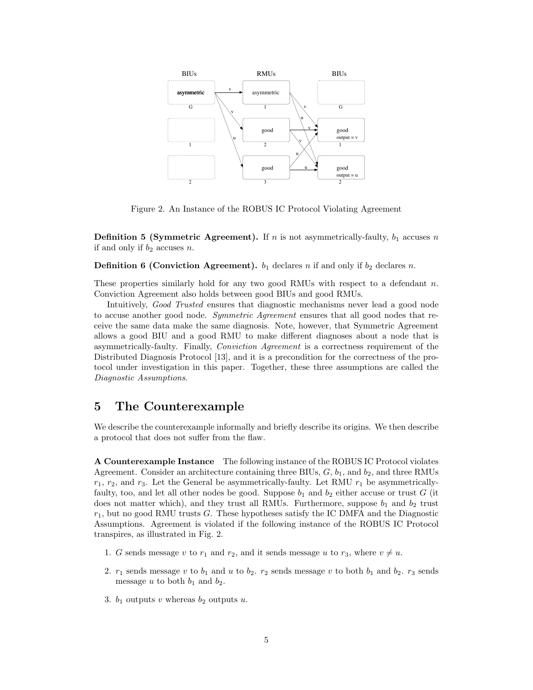

Figure 2. An Instance of the ROBUS IC Protocol Violating Agreement

**Definition 5 (Symmetric Agreement).** If n is not asymmetrically-faulty,  $b_1$  accuses n if and only if  $b_2$  accuses n.

**Definition 6 (Conviction Agreement).**  $b_1$  declares n if and only if  $b_2$  declares n.

These properties similarly hold for any two good RMUs with respect to a defendant n. Conviction Agreement also holds between good BIUs and good RMUs.

Intuitively, Good Trusted ensures that diagnostic mechanisms never lead a good node to accuse another good node. Symmetric Agreement ensures that all good nodes that receive the same data make the same diagnosis. Note, however, that Symmetric Agreement allows a good BIU and a good RMU to make different diagnoses about a node that is asymmetrically-faulty. Finally, Conviction Agreement is a correctness requirement of the Distributed Diagnosis Protocol [13], and it is a precondition for the correctness of the protocol under investigation in this paper. Together, these three assumptions are called the Diagnostic Assumptions.

# 5 The Counterexample

We describe the counterexample informally and briefly describe its origins. We then describe a protocol that does not suffer from the flaw.

A Counterexample Instance The following instance of the ROBUS IC Protocol violates Agreement. Consider an architecture containing three BIUs,  $G$ ,  $b_1$ , and  $b_2$ , and three RMUs  $r_1$ ,  $r_2$ , and  $r_3$ . Let the General be asymmetrically-faulty. Let RMU  $r_1$  be asymmetricallyfaulty, too, and let all other nodes be good. Suppose  $b_1$  and  $b_2$  either accuse or trust G (it does not matter which), and they trust all RMUs. Furthermore, suppose  $b_1$  and  $b_2$  trust  $r_1$ , but no good RMU trusts G. These hypotheses satisfy the IC DMFA and the Diagnostic Assumptions. Agreement is violated if the following instance of the ROBUS IC Protocol transpires, as illustrated in Fig. 2.

- 1. G sends message v to  $r_1$  and  $r_2$ , and it sends message u to  $r_3$ , where  $v \neq u$ .
- 2.  $r_1$  sends message v to  $b_1$  and u to  $b_2$ .  $r_2$  sends message v to both  $b_1$  and  $b_2$ .  $r_3$  sends message u to both  $b_1$  and  $b_2$ .
- 3.  $b_1$  outputs v whereas  $b_2$  outputs u.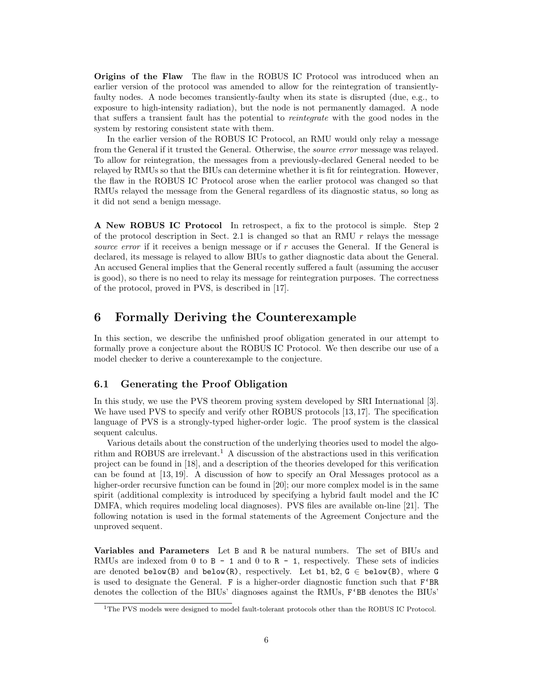Origins of the Flaw The flaw in the ROBUS IC Protocol was introduced when an earlier version of the protocol was amended to allow for the reintegration of transientlyfaulty nodes. A node becomes transiently-faulty when its state is disrupted (due, e.g., to exposure to high-intensity radiation), but the node is not permanently damaged. A node that suffers a transient fault has the potential to reintegrate with the good nodes in the system by restoring consistent state with them.

In the earlier version of the ROBUS IC Protocol, an RMU would only relay a message from the General if it trusted the General. Otherwise, the *source error* message was relayed. To allow for reintegration, the messages from a previously-declared General needed to be relayed by RMUs so that the BIUs can determine whether it is fit for reintegration. However, the flaw in the ROBUS IC Protocol arose when the earlier protocol was changed so that RMUs relayed the message from the General regardless of its diagnostic status, so long as it did not send a benign message.

A New ROBUS IC Protocol In retrospect, a fix to the protocol is simple. Step 2 of the protocol description in Sect. 2.1 is changed so that an RMU  $r$  relays the message source error if it receives a benign message or if r accuses the General. If the General is declared, its message is relayed to allow BIUs to gather diagnostic data about the General. An accused General implies that the General recently suffered a fault (assuming the accuser is good), so there is no need to relay its message for reintegration purposes. The correctness of the protocol, proved in PVS, is described in [17].

# 6 Formally Deriving the Counterexample

In this section, we describe the unfinished proof obligation generated in our attempt to formally prove a conjecture about the ROBUS IC Protocol. We then describe our use of a model checker to derive a counterexample to the conjecture.

### 6.1 Generating the Proof Obligation

In this study, we use the PVS theorem proving system developed by SRI International [3]. We have used PVS to specify and verify other ROBUS protocols [13,17]. The specification language of PVS is a strongly-typed higher-order logic. The proof system is the classical sequent calculus.

Various details about the construction of the underlying theories used to model the algorithm and ROBUS are irrelevant.<sup>1</sup> A discussion of the abstractions used in this verification project can be found in [18], and a description of the theories developed for this verification can be found at [13, 19]. A discussion of how to specify an Oral Messages protocol as a higher-order recursive function can be found in [20]; our more complex model is in the same spirit (additional complexity is introduced by specifying a hybrid fault model and the IC DMFA, which requires modeling local diagnoses). PVS files are available on-line [21]. The following notation is used in the formal statements of the Agreement Conjecture and the unproved sequent.

Variables and Parameters Let B and R be natural numbers. The set of BIUs and RMUs are indexed from  $0$  to  $B - 1$  and  $0$  to  $R - 1$ , respectively. These sets of indicies are denoted below(B) and below(R), respectively. Let b1, b2,  $G \in$  below(B), where G is used to designate the General. F is a higher-order diagnostic function such that  $F'BR$ denotes the collection of the BIUs' diagnoses against the RMUs, F'BB denotes the BIUs'

<sup>&</sup>lt;sup>1</sup>The PVS models were designed to model fault-tolerant protocols other than the ROBUS IC Protocol.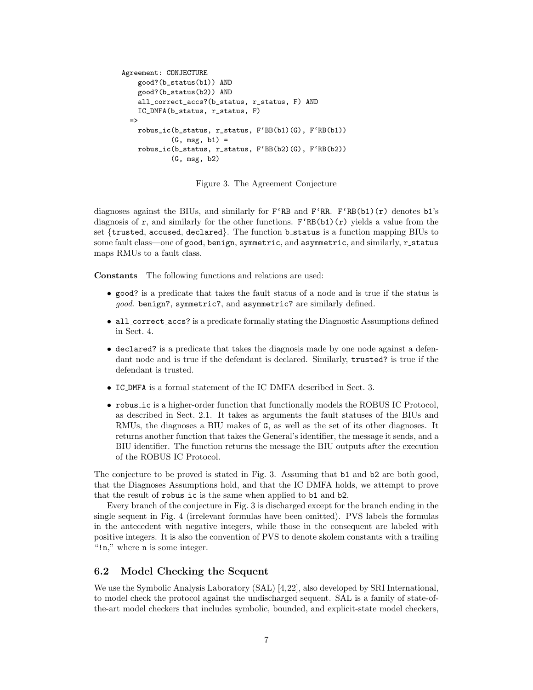```
Agreement: CONJECTURE
    good?(b_status(b1)) AND
    good?(b_status(b2)) AND
    all_correct_accs?(b_status, r_status, F) AND
    IC_DMFA(b_status, r_status, F)
  \Rightarrowrobus_ic(b_status, r_status, F'BB(b1)(G), F'RB(b1))
            (G, msg, b1) =robus_ic(b_status, r_status, F'BB(b2)(G), F'RB(b2))
            (G, msg, b2)
```
Figure 3. The Agreement Conjecture

diagnoses against the BIUs, and similarly for  $F^{R}$ B and  $F^{R}$ R.  $F^{R}$ B(b1)(r) denotes b1's diagnosis of r, and similarly for the other functions.  $F^{R}B(b1)(r)$  yields a value from the set {trusted, accused, declared}. The function b\_status is a function mapping BIUs to some fault class—one of good, benign, symmetric, and asymmetric, and similarly, r\_status maps RMUs to a fault class.

Constants The following functions and relations are used:

- good? is a predicate that takes the fault status of a node and is true if the status is good. benign?, symmetric?, and asymmetric? are similarly defined.
- all\_correct\_accs? is a predicate formally stating the Diagnostic Assumptions defined in Sect. 4.
- declared? is a predicate that takes the diagnosis made by one node against a defendant node and is true if the defendant is declared. Similarly, trusted? is true if the defendant is trusted.
- IC DMFA is a formal statement of the IC DMFA described in Sect. 3.
- robus ic is a higher-order function that functionally models the ROBUS IC Protocol, as described in Sect. 2.1. It takes as arguments the fault statuses of the BIUs and RMUs, the diagnoses a BIU makes of G, as well as the set of its other diagnoses. It returns another function that takes the General's identifier, the message it sends, and a BIU identifier. The function returns the message the BIU outputs after the execution of the ROBUS IC Protocol.

The conjecture to be proved is stated in Fig. 3. Assuming that b1 and b2 are both good, that the Diagnoses Assumptions hold, and that the IC DMFA holds, we attempt to prove that the result of robus ic is the same when applied to b1 and b2.

Every branch of the conjecture in Fig. 3 is discharged except for the branch ending in the single sequent in Fig. 4 (irrelevant formulas have been omitted). PVS labels the formulas in the antecedent with negative integers, while those in the consequent are labeled with positive integers. It is also the convention of PVS to denote skolem constants with a trailing "!n," where n is some integer.

#### 6.2 Model Checking the Sequent

We use the Symbolic Analysis Laboratory (SAL) [4,22], also developed by SRI International, to model check the protocol against the undischarged sequent. SAL is a family of state-ofthe-art model checkers that includes symbolic, bounded, and explicit-state model checkers,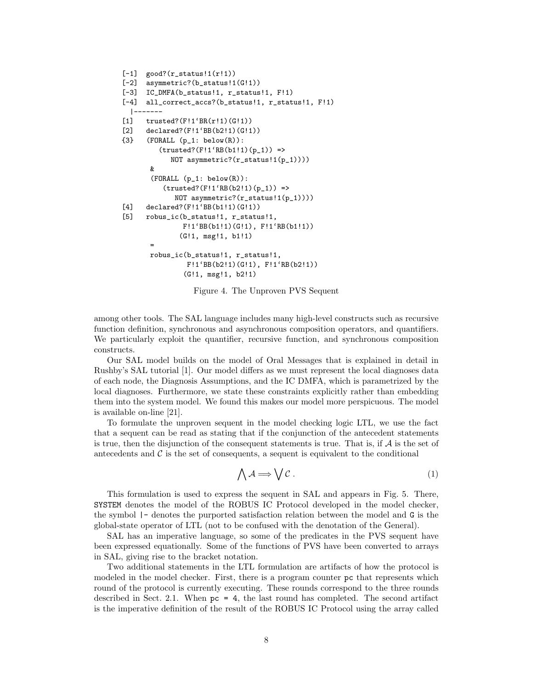```
[-1] good?(r_{\text{status}}!1(r!1))[-2] asymmetric?(b_status!1(G!1))
[-3] IC_DMFA(b_status!1, r_status!1, F!1)
[-4] all_correct_accs?(b_status!1, r_status!1, F!1)
  |-------
[1] trusted?(F!1'BR(r!1)(G!1))
[2] declared?(F!1'BB(b2!1)(G!1))
{3} (FORALL (p_1: below(R)):
         (trusted? (F!1'RB(b1!1)(p_1)) =NOT asymmetric?(r_status!1(p_1))))
       \boldsymbol{\ell}(FORMALL (p_1: below(R)):
          (trusted? (F!1'RB(b2!1)(p_1)) =NOT asymmetric?(r_{status}:1(p_1)))[4] declared?(F!1'BB(b1!1)(G!1))
[5] robus_ic(b_status!1, r_status!1,
               F!1'BB(b1!1)(G!1), F!1'RB(b1!1))
              (G!1, msg!1, b1!1)
       =
       robus_ic(b_status!1, r_status!1,
                F!1'BB(b2!1)(G!1), F!1'RB(b2!1))
               (G!1, msg!1, b2!1)
```
Figure 4. The Unproven PVS Sequent

among other tools. The SAL language includes many high-level constructs such as recursive function definition, synchronous and asynchronous composition operators, and quantifiers. We particularly exploit the quantifier, recursive function, and synchronous composition constructs.

Our SAL model builds on the model of Oral Messages that is explained in detail in Rushby's SAL tutorial [1]. Our model differs as we must represent the local diagnoses data of each node, the Diagnosis Assumptions, and the IC DMFA, which is parametrized by the local diagnoses. Furthermore, we state these constraints explicitly rather than embedding them into the system model. We found this makes our model more perspicuous. The model is available on-line [21].

To formulate the unproven sequent in the model checking logic LTL, we use the fact that a sequent can be read as stating that if the conjunction of the antecedent statements is true, then the disjunction of the consequent statements is true. That is, if  $\mathcal A$  is the set of antecedents and  $\mathcal C$  is the set of consequents, a sequent is equivalent to the conditional

$$
\bigwedge \mathcal{A} \Longrightarrow \bigvee \mathcal{C} \ . \tag{1}
$$

This formulation is used to express the sequent in SAL and appears in Fig. 5. There, SYSTEM denotes the model of the ROBUS IC Protocol developed in the model checker, the symbol |- denotes the purported satisfaction relation between the model and G is the global-state operator of LTL (not to be confused with the denotation of the General).

SAL has an imperative language, so some of the predicates in the PVS sequent have been expressed equationally. Some of the functions of PVS have been converted to arrays in SAL, giving rise to the bracket notation.

Two additional statements in the LTL formulation are artifacts of how the protocol is modeled in the model checker. First, there is a program counter pc that represents which round of the protocol is currently executing. These rounds correspond to the three rounds described in Sect. 2.1. When pc = 4, the last round has completed. The second artifact is the imperative definition of the result of the ROBUS IC Protocol using the array called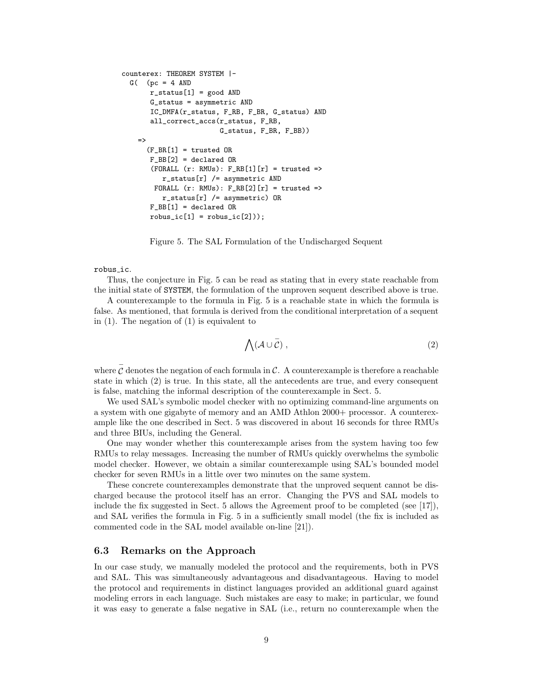```
counterex: THEOREM SYSTEM |-
  G( (pc = 4 AND
       r_{\texttt{1}}status[1] = \text{good} AND
       G_status = asymmetric AND
       IC_DMFA(r_status, F_RB, F_BR, G_status) AND
       all_correct_accs(r_status, F_RB,
                          G_status, F_BR, F_BB))
    =>
      (F_BR[1] = trusted OR
       F_B = [2] = declared OR(FPRALL (r: RMUs): F_RBE[1][r] = trustedr_{\text{1}}status[r] /= asymmetric AND
        FORALL (r: RMUs): F_RB[2][r] = trustedr_{\text{1}}status[r] /= asymmetric) OR
       F_B = [1] = declared ORrobus\_ic[1] = robust\_ic[2]));
```
Figure 5. The SAL Formulation of the Undischarged Sequent

#### robus ic.

Thus, the conjecture in Fig. 5 can be read as stating that in every state reachable from the initial state of SYSTEM, the formulation of the unproven sequent described above is true.

A counterexample to the formula in Fig. 5 is a reachable state in which the formula is false. As mentioned, that formula is derived from the conditional interpretation of a sequent in (1). The negation of (1) is equivalent to

$$
\bigwedge (\mathcal{A} \cup \overline{\mathcal{C}}) ,\tag{2}
$$

where  $\bar{c}$  denotes the negation of each formula in C. A counterexample is therefore a reachable state in which (2) is true. In this state, all the antecedents are true, and every consequent is false, matching the informal description of the counterexample in Sect. 5.

We used SAL's symbolic model checker with no optimizing command-line arguments on a system with one gigabyte of memory and an AMD Athlon 2000+ processor. A counterexample like the one described in Sect. 5 was discovered in about 16 seconds for three RMUs and three BIUs, including the General.

One may wonder whether this counterexample arises from the system having too few RMUs to relay messages. Increasing the number of RMUs quickly overwhelms the symbolic model checker. However, we obtain a similar counterexample using SAL's bounded model checker for seven RMUs in a little over two minutes on the same system.

These concrete counterexamples demonstrate that the unproved sequent cannot be discharged because the protocol itself has an error. Changing the PVS and SAL models to include the fix suggested in Sect. 5 allows the Agreement proof to be completed (see  $[17]$ ), and SAL verifies the formula in Fig. 5 in a sufficiently small model (the fix is included as commented code in the SAL model available on-line [21]).

#### 6.3 Remarks on the Approach

In our case study, we manually modeled the protocol and the requirements, both in PVS and SAL. This was simultaneously advantageous and disadvantageous. Having to model the protocol and requirements in distinct languages provided an additional guard against modeling errors in each language. Such mistakes are easy to make; in particular, we found it was easy to generate a false negative in SAL (i.e., return no counterexample when the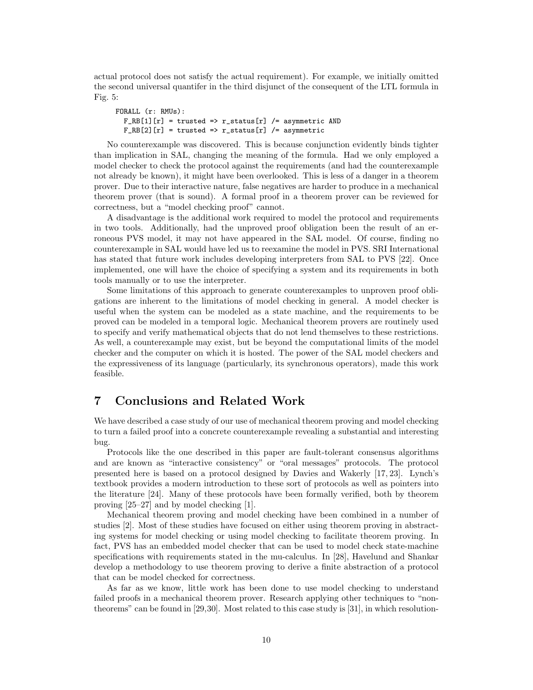actual protocol does not satisfy the actual requirement). For example, we initially omitted the second universal quantifer in the third disjunct of the consequent of the LTL formula in Fig. 5:

```
FORALL (r: RMUs):
 F_RRB[1][r] = trusted => r_status[r] /= asymmetric AND
 F_RB[2][r] = trusted => r_status[r] /= asymmetric
```
No counterexample was discovered. This is because conjunction evidently binds tighter than implication in SAL, changing the meaning of the formula. Had we only employed a model checker to check the protocol against the requirements (and had the counterexample not already be known), it might have been overlooked. This is less of a danger in a theorem prover. Due to their interactive nature, false negatives are harder to produce in a mechanical theorem prover (that is sound). A formal proof in a theorem prover can be reviewed for correctness, but a "model checking proof" cannot.

A disadvantage is the additional work required to model the protocol and requirements in two tools. Additionally, had the unproved proof obligation been the result of an erroneous PVS model, it may not have appeared in the SAL model. Of course, finding no counterexample in SAL would have led us to reexamine the model in PVS. SRI International has stated that future work includes developing interpreters from SAL to PVS [22]. Once implemented, one will have the choice of specifying a system and its requirements in both tools manually or to use the interpreter.

Some limitations of this approach to generate counterexamples to unproven proof obligations are inherent to the limitations of model checking in general. A model checker is useful when the system can be modeled as a state machine, and the requirements to be proved can be modeled in a temporal logic. Mechanical theorem provers are routinely used to specify and verify mathematical objects that do not lend themselves to these restrictions. As well, a counterexample may exist, but be beyond the computational limits of the model checker and the computer on which it is hosted. The power of the SAL model checkers and the expressiveness of its language (particularly, its synchronous operators), made this work feasible.

## 7 Conclusions and Related Work

We have described a case study of our use of mechanical theorem proving and model checking to turn a failed proof into a concrete counterexample revealing a substantial and interesting bug.

Protocols like the one described in this paper are fault-tolerant consensus algorithms and are known as "interactive consistency" or "oral messages" protocols. The protocol presented here is based on a protocol designed by Davies and Wakerly [17, 23]. Lynch's textbook provides a modern introduction to these sort of protocols as well as pointers into the literature [24]. Many of these protocols have been formally verified, both by theorem proving [25–27] and by model checking [1].

Mechanical theorem proving and model checking have been combined in a number of studies [2]. Most of these studies have focused on either using theorem proving in abstracting systems for model checking or using model checking to facilitate theorem proving. In fact, PVS has an embedded model checker that can be used to model check state-machine specifications with requirements stated in the mu-calculus. In [28], Havelund and Shankar develop a methodology to use theorem proving to derive a finite abstraction of a protocol that can be model checked for correctness.

As far as we know, little work has been done to use model checking to understand failed proofs in a mechanical theorem prover. Research applying other techniques to "nontheorems" can be found in [29,30]. Most related to this case study is [31], in which resolution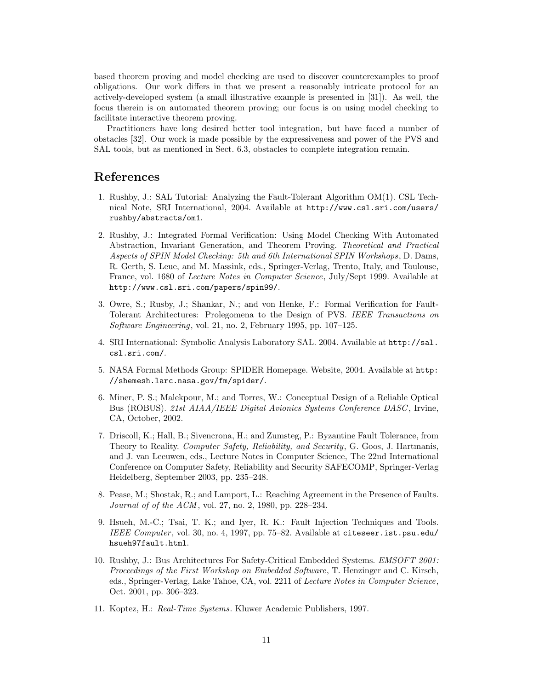based theorem proving and model checking are used to discover counterexamples to proof obligations. Our work differs in that we present a reasonably intricate protocol for an actively-developed system (a small illustrative example is presented in [31]). As well, the focus therein is on automated theorem proving; our focus is on using model checking to facilitate interactive theorem proving.

Practitioners have long desired better tool integration, but have faced a number of obstacles [32]. Our work is made possible by the expressiveness and power of the PVS and SAL tools, but as mentioned in Sect. 6.3, obstacles to complete integration remain.

## References

- 1. Rushby, J.: SAL Tutorial: Analyzing the Fault-Tolerant Algorithm OM(1). CSL Technical Note, SRI International, 2004. Available at http://www.csl.sri.com/users/ rushby/abstracts/om1.
- 2. Rushby, J.: Integrated Formal Verification: Using Model Checking With Automated Abstraction, Invariant Generation, and Theorem Proving. Theoretical and Practical Aspects of SPIN Model Checking: 5th and 6th International SPIN Workshops, D. Dams, R. Gerth, S. Leue, and M. Massink, eds., Springer-Verlag, Trento, Italy, and Toulouse, France, vol. 1680 of Lecture Notes in Computer Science, July/Sept 1999. Available at http://www.csl.sri.com/papers/spin99/.
- 3. Owre, S.; Rusby, J.; Shankar, N.; and von Henke, F.: Formal Verification for Fault-Tolerant Architectures: Prolegomena to the Design of PVS. IEEE Transactions on Software Engineering, vol. 21, no. 2, February 1995, pp. 107–125.
- 4. SRI International: Symbolic Analysis Laboratory SAL. 2004. Available at http://sal. csl.sri.com/.
- 5. NASA Formal Methods Group: SPIDER Homepage. Website, 2004. Available at http: //shemesh.larc.nasa.gov/fm/spider/.
- 6. Miner, P. S.; Malekpour, M.; and Torres, W.: Conceptual Design of a Reliable Optical Bus (ROBUS). 21st AIAA/IEEE Digital Avionics Systems Conference DASC , Irvine, CA, October, 2002.
- 7. Driscoll, K.; Hall, B.; Sivencrona, H.; and Zumsteg, P.: Byzantine Fault Tolerance, from Theory to Reality. Computer Safety, Reliability, and Security, G. Goos, J. Hartmanis, and J. van Leeuwen, eds., Lecture Notes in Computer Science, The 22nd International Conference on Computer Safety, Reliability and Security SAFECOMP, Springer-Verlag Heidelberg, September 2003, pp. 235–248.
- 8. Pease, M.; Shostak, R.; and Lamport, L.: Reaching Agreement in the Presence of Faults. Journal of of the ACM, vol. 27, no. 2, 1980, pp. 228-234.
- 9. Hsueh, M.-C.; Tsai, T. K.; and Iyer, R. K.: Fault Injection Techniques and Tools. IEEE Computer, vol. 30, no. 4, 1997, pp. 75–82. Available at citeseer.ist.psu.edu/ hsueh97fault.html.
- 10. Rushby, J.: Bus Architectures For Safety-Critical Embedded Systems. EMSOFT 2001: Proceedings of the First Workshop on Embedded Software, T. Henzinger and C. Kirsch, eds., Springer-Verlag, Lake Tahoe, CA, vol. 2211 of Lecture Notes in Computer Science, Oct. 2001, pp. 306–323.
- 11. Koptez, H.: Real-Time Systems. Kluwer Academic Publishers, 1997.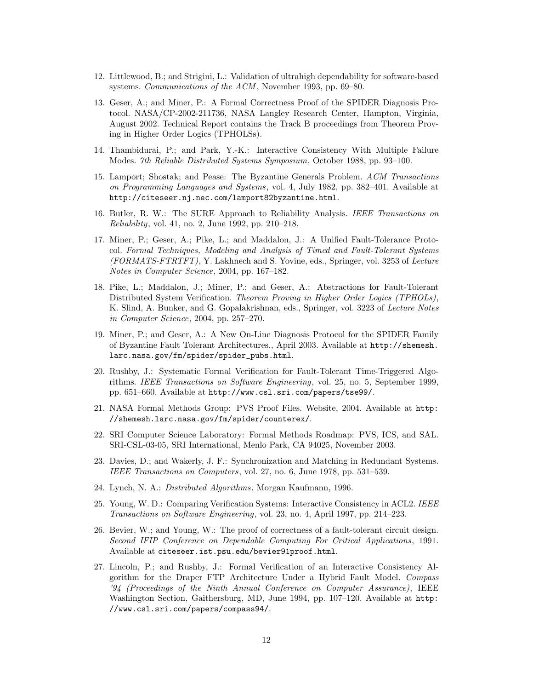- 12. Littlewood, B.; and Strigini, L.: Validation of ultrahigh dependability for software-based systems. Communications of the ACM, November 1993, pp. 69–80.
- 13. Geser, A.; and Miner, P.: A Formal Correctness Proof of the SPIDER Diagnosis Protocol. NASA/CP-2002-211736, NASA Langley Research Center, Hampton, Virginia, August 2002. Technical Report contains the Track B proceedings from Theorem Proving in Higher Order Logics (TPHOLSs).
- 14. Thambidurai, P.; and Park, Y.-K.: Interactive Consistency With Multiple Failure Modes. 7th Reliable Distributed Systems Symposium, October 1988, pp. 93–100.
- 15. Lamport; Shostak; and Pease: The Byzantine Generals Problem. ACM Transactions on Programming Languages and Systems, vol. 4, July 1982, pp. 382–401. Available at http://citeseer.nj.nec.com/lamport82byzantine.html.
- 16. Butler, R. W.: The SURE Approach to Reliability Analysis. IEEE Transactions on Reliability, vol. 41, no. 2, June 1992, pp. 210–218.
- 17. Miner, P.; Geser, A.; Pike, L.; and Maddalon, J.: A Unified Fault-Tolerance Protocol. Formal Techniques, Modeling and Analysis of Timed and Fault-Tolerant Systems (FORMATS-FTRTFT), Y. Lakhnech and S. Yovine, eds., Springer, vol. 3253 of Lecture Notes in Computer Science, 2004, pp. 167–182.
- 18. Pike, L.; Maddalon, J.; Miner, P.; and Geser, A.: Abstractions for Fault-Tolerant Distributed System Verification. Theorem Proving in Higher Order Logics (TPHOLs), K. Slind, A. Bunker, and G. Gopalakrishnan, eds., Springer, vol. 3223 of Lecture Notes in Computer Science, 2004, pp. 257–270.
- 19. Miner, P.; and Geser, A.: A New On-Line Diagnosis Protocol for the SPIDER Family of Byzantine Fault Tolerant Architectures., April 2003. Available at http://shemesh. larc.nasa.gov/fm/spider/spider\_pubs.html.
- 20. Rushby, J.: Systematic Formal Verification for Fault-Tolerant Time-Triggered Algorithms. IEEE Transactions on Software Engineering, vol. 25, no. 5, September 1999, pp. 651–660. Available at http://www.csl.sri.com/papers/tse99/.
- 21. NASA Formal Methods Group: PVS Proof Files. Website, 2004. Available at http: //shemesh.larc.nasa.gov/fm/spider/counterex/.
- 22. SRI Computer Science Laboratory: Formal Methods Roadmap: PVS, ICS, and SAL. SRI-CSL-03-05, SRI International, Menlo Park, CA 94025, November 2003.
- 23. Davies, D.; and Wakerly, J. F.: Synchronization and Matching in Redundant Systems. IEEE Transactions on Computers, vol. 27, no. 6, June 1978, pp. 531–539.
- 24. Lynch, N. A.: Distributed Algorithms. Morgan Kaufmann, 1996.
- 25. Young, W. D.: Comparing Verification Systems: Interactive Consistency in ACL2. IEEE Transactions on Software Engineering, vol. 23, no. 4, April 1997, pp. 214–223.
- 26. Bevier, W.; and Young, W.: The proof of correctness of a fault-tolerant circuit design. Second IFIP Conference on Dependable Computing For Critical Applications, 1991. Available at citeseer.ist.psu.edu/bevier91proof.html.
- 27. Lincoln, P.; and Rushby, J.: Formal Verification of an Interactive Consistency Algorithm for the Draper FTP Architecture Under a Hybrid Fault Model. Compass '94 (Proceedings of the Ninth Annual Conference on Computer Assurance), IEEE Washington Section, Gaithersburg, MD, June 1994, pp. 107–120. Available at http: //www.csl.sri.com/papers/compass94/.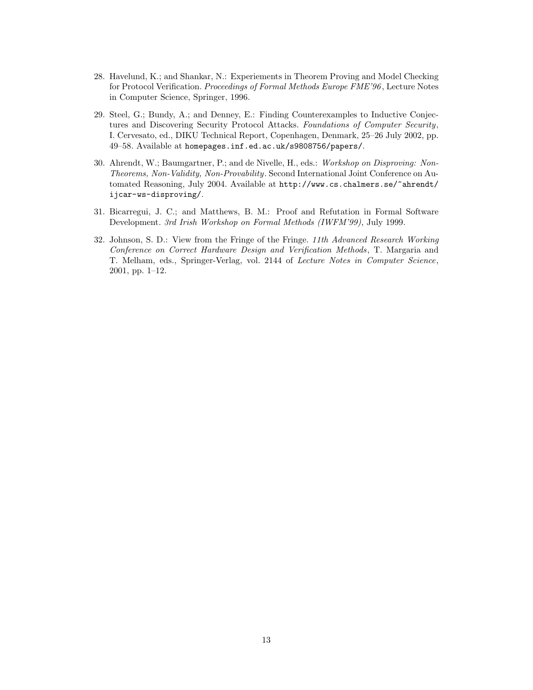- 28. Havelund, K.; and Shankar, N.: Experiements in Theorem Proving and Model Checking for Protocol Verification. Proceedings of Formal Methods Europe FME'96 , Lecture Notes in Computer Science, Springer, 1996.
- 29. Steel, G.; Bundy, A.; and Denney, E.: Finding Counterexamples to Inductive Conjectures and Discovering Security Protocol Attacks. Foundations of Computer Security, I. Cervesato, ed., DIKU Technical Report, Copenhagen, Denmark, 25–26 July 2002, pp. 49–58. Available at homepages.inf.ed.ac.uk/s9808756/papers/.
- 30. Ahrendt, W.; Baumgartner, P.; and de Nivelle, H., eds.: Workshop on Disproving: Non-Theorems, Non-Validity, Non-Provability. Second International Joint Conference on Automated Reasoning, July 2004. Available at http://www.cs.chalmers.se/~ahrendt/ ijcar-ws-disproving/.
- 31. Bicarregui, J. C.; and Matthews, B. M.: Proof and Refutation in Formal Software Development. 3rd Irish Workshop on Formal Methods (IWFM'99), July 1999.
- 32. Johnson, S. D.: View from the Fringe of the Fringe. 11th Advanced Research Working Conference on Correct Hardware Design and Verification Methods, T. Margaria and T. Melham, eds., Springer-Verlag, vol. 2144 of Lecture Notes in Computer Science, 2001, pp. 1–12.